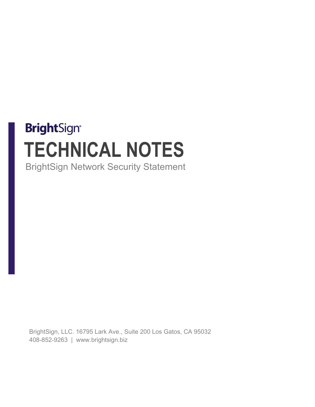# **BrightSign® TECHNICAL NOTES** BrightSign Network Security Statement

BrightSign, LLC. 16795 Lark Ave., Suite 200 Los Gatos, CA 95032 408-852-9263 | www.brightsign.biz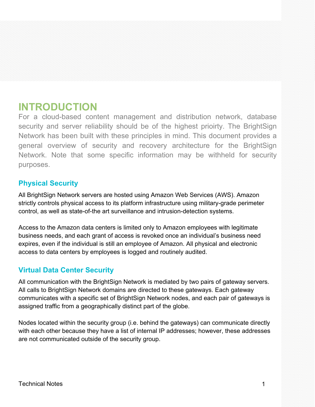## **INTRODUCTION**

For a cloud-based content management and distribution network, database security and server reliability should be of the highest prioirty. The BrightSign Network has been built with these principles in mind. This document provides a general overview of security and recovery architecture for the BrightSign Network. Note that some specific information may be withheld for security purposes.

## **Physical Security**

All BrightSign Network servers are hosted using Amazon Web Services (AWS). Amazon strictly controls physical access to its platform infrastructure using military-grade perimeter control, as well as state-of-the art surveillance and intrusion-detection systems.

Access to the Amazon data centers is limited only to Amazon employees with legitimate business needs, and each grant of access is revoked once an individual's business need expires, even if the individual is still an employee of Amazon. All physical and electronic access to data centers by employees is logged and routinely audited.

## **Virtual Data Center Security**

All communication with the BrightSign Network is mediated by two pairs of gateway servers. All calls to BrightSign Network domains are directed to these gateways. Each gateway communicates with a specific set of BrightSign Network nodes, and each pair of gateways is assigned traffic from a geographically distinct part of the globe.

Nodes located within the security group (i.e. behind the gateways) can communicate directly with each other because they have a list of internal IP addresses; however, these addresses are not communicated outside of the security group.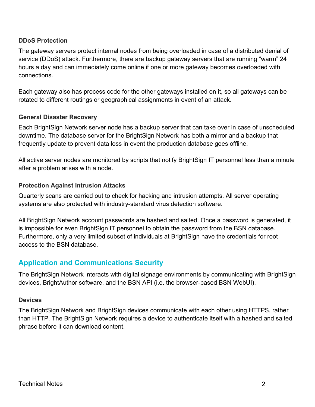#### **DDoS Protection**

The gateway servers protect internal nodes from being overloaded in case of a distributed denial of service (DDoS) attack. Furthermore, there are backup gateway servers that are running "warm" 24 hours a day and can immediately come online if one or more gateway becomes overloaded with connections.

Each gateway also has process code for the other gateways installed on it, so all gateways can be rotated to different routings or geographical assignments in event of an attack.

## **General Disaster Recovery**

Each BrightSign Network server node has a backup server that can take over in case of unscheduled downtime. The database server for the BrightSign Network has both a mirror and a backup that frequently update to prevent data loss in event the production database goes offline.

All active server nodes are monitored by scripts that notify BrightSign IT personnel less than a minute after a problem arises with a node.

## **Protection Against Intrusion Attacks**

Quarterly scans are carried out to check for hacking and intrusion attempts. All server operating systems are also protected with industry-standard virus detection software.

All BrightSign Network account passwords are hashed and salted. Once a password is generated, it is impossible for even BrightSign IT personnel to obtain the password from the BSN database. Furthermore, only a very limited subset of individuals at BrightSign have the credentials for root access to the BSN database.

## **Application and Communications Security**

The BrightSign Network interacts with digital signage environments by communicating with BrightSign devices, BrightAuthor software, and the BSN API (i.e. the browser-based BSN WebUI).

#### **Devices**

The BrightSign Network and BrightSign devices communicate with each other using HTTPS, rather than HTTP. The BrightSign Network requires a device to authenticate itself with a hashed and salted phrase before it can download content.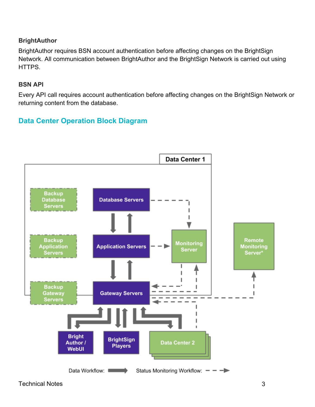## **BrightAuthor**

BrightAuthor requires BSN account authentication before affecting changes on the BrightSign Network. All communication between BrightAuthor and the BrightSign Network is carried out using HTTPS.

#### **BSN API**

Every API call requires account authentication before affecting changes on the BrightSign Network or returning content from the database.

## **Data Center Operation Block Diagram**